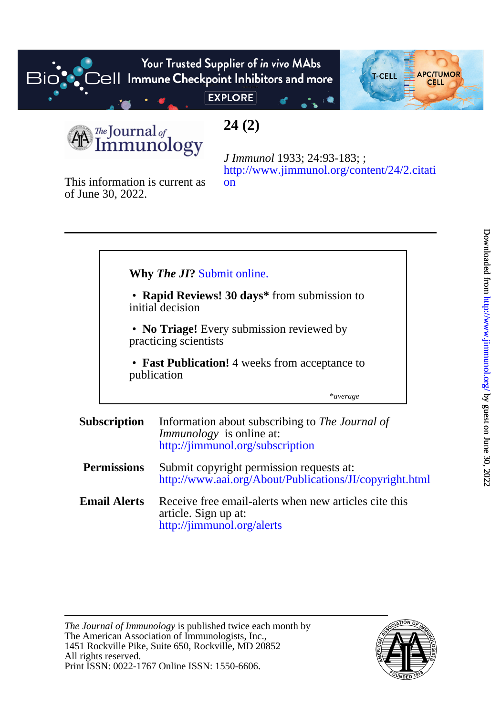

[on](http://www.jimmunol.org/content/24/2.citation) [http://www.jimmunol.org/content/24/2.citati](http://www.jimmunol.org/content/24/2.citation) *J Immunol* 1933; 24:93-183; ;

of June 30, 2022. This information is current as

|                     |                                                                    | <b>Why The JI? Submit online.</b>                                                                                      |
|---------------------|--------------------------------------------------------------------|------------------------------------------------------------------------------------------------------------------------|
|                     | • Rapid Reviews! 30 days* from submission to<br>initial decision   |                                                                                                                        |
|                     | • No Triage! Every submission reviewed by<br>practicing scientists |                                                                                                                        |
|                     | • Fast Publication! 4 weeks from acceptance to<br>publication      |                                                                                                                        |
|                     |                                                                    | *average                                                                                                               |
| <b>Subscription</b> |                                                                    | Information about subscribing to The Journal of<br><i>Immunology</i> is online at:<br>http://jimmunol.org/subscription |
| <b>Permissions</b>  |                                                                    | Submit copyright permission requests at:<br>http://www.aai.org/About/Publications/JI/copyright.html                    |
|                     | <b>Email Alerts</b>                                                | Receive free email-alerts when new articles cite this<br>article. Sign up at:<br>http://jimmunol.org/alerts            |